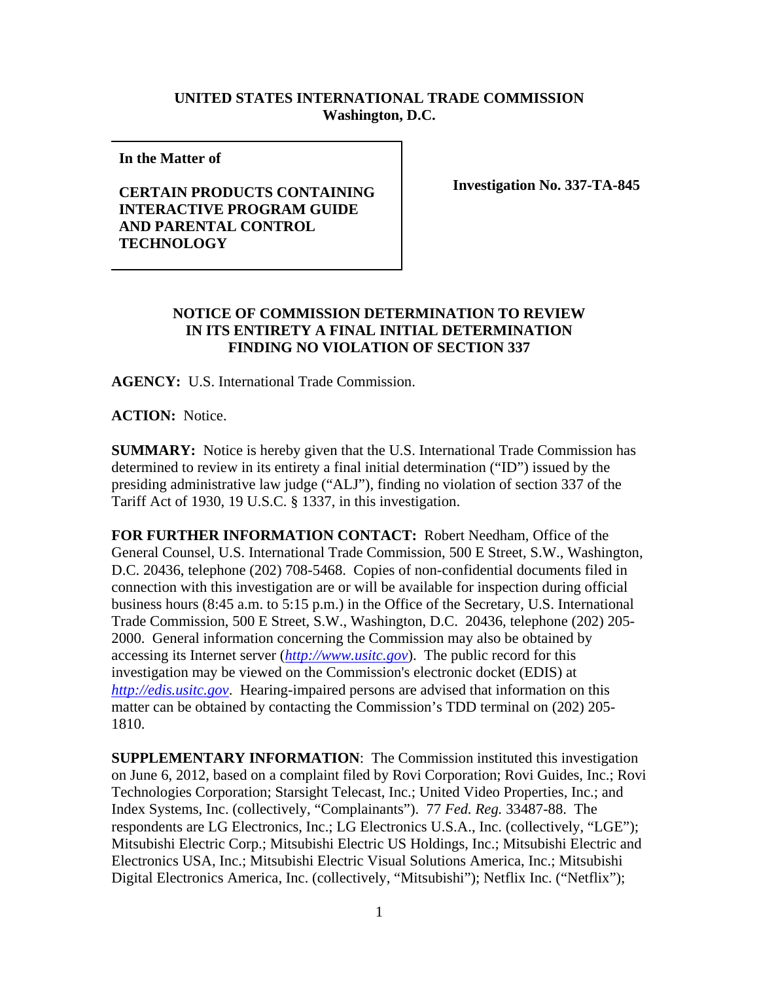## **UNITED STATES INTERNATIONAL TRADE COMMISSION Washington, D.C.**

**In the Matter of** 

## **CERTAIN PRODUCTS CONTAINING INTERACTIVE PROGRAM GUIDE AND PARENTAL CONTROL TECHNOLOGY**

**Investigation No. 337-TA-845**

## **NOTICE OF COMMISSION DETERMINATION TO REVIEW IN ITS ENTIRETY A FINAL INITIAL DETERMINATION FINDING NO VIOLATION OF SECTION 337**

**AGENCY:** U.S. International Trade Commission.

**ACTION:** Notice.

**SUMMARY:** Notice is hereby given that the U.S. International Trade Commission has determined to review in its entirety a final initial determination ("ID") issued by the presiding administrative law judge ("ALJ"), finding no violation of section 337 of the Tariff Act of 1930, 19 U.S.C. § 1337, in this investigation.

**FOR FURTHER INFORMATION CONTACT:** Robert Needham, Office of the General Counsel, U.S. International Trade Commission, 500 E Street, S.W., Washington, D.C. 20436, telephone (202) 708-5468. Copies of non-confidential documents filed in connection with this investigation are or will be available for inspection during official business hours (8:45 a.m. to 5:15 p.m.) in the Office of the Secretary, U.S. International Trade Commission, 500 E Street, S.W., Washington, D.C. 20436, telephone (202) 205- 2000. General information concerning the Commission may also be obtained by accessing its Internet server (*http://www.usitc.gov*). The public record for this investigation may be viewed on the Commission's electronic docket (EDIS) at *http://edis.usitc.gov*. Hearing-impaired persons are advised that information on this matter can be obtained by contacting the Commission's TDD terminal on (202) 205- 1810.

**SUPPLEMENTARY INFORMATION**: The Commission instituted this investigation on June 6, 2012, based on a complaint filed by Rovi Corporation; Rovi Guides, Inc.; Rovi Technologies Corporation; Starsight Telecast, Inc.; United Video Properties, Inc.; and Index Systems, Inc. (collectively, "Complainants"). 77 *Fed. Reg.* 33487-88. The respondents are LG Electronics, Inc.; LG Electronics U.S.A., Inc. (collectively, "LGE"); Mitsubishi Electric Corp.; Mitsubishi Electric US Holdings, Inc.; Mitsubishi Electric and Electronics USA, Inc.; Mitsubishi Electric Visual Solutions America, Inc.; Mitsubishi Digital Electronics America, Inc. (collectively, "Mitsubishi"); Netflix Inc. ("Netflix");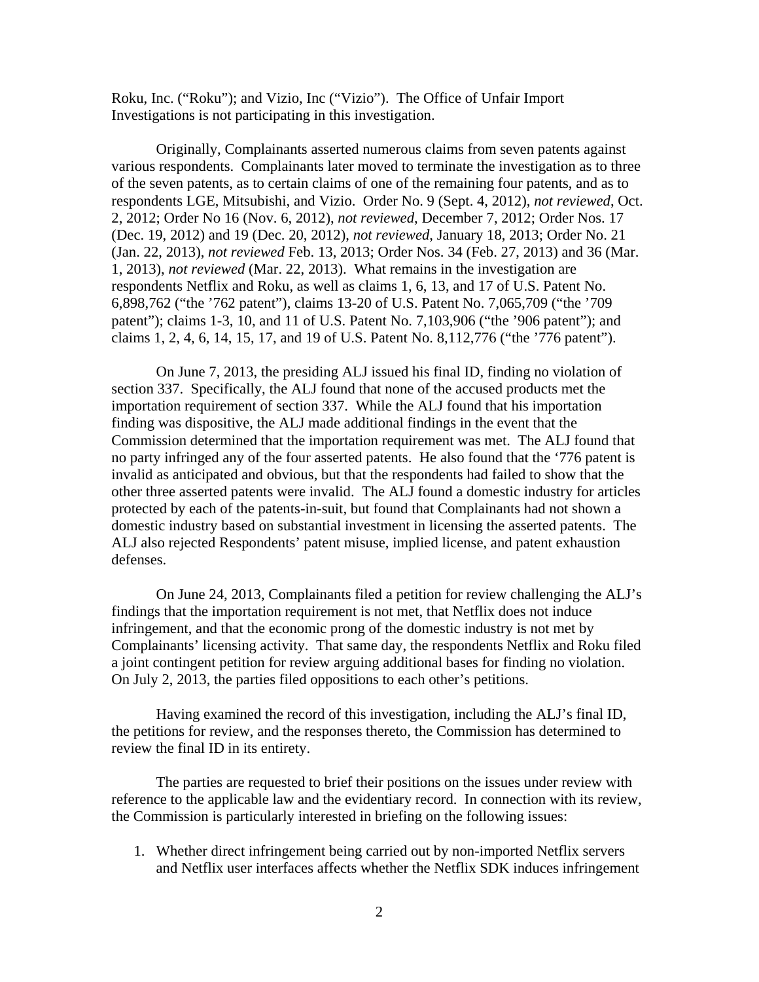Roku, Inc. ("Roku"); and Vizio, Inc ("Vizio"). The Office of Unfair Import Investigations is not participating in this investigation.

Originally, Complainants asserted numerous claims from seven patents against various respondents. Complainants later moved to terminate the investigation as to three of the seven patents, as to certain claims of one of the remaining four patents, and as to respondents LGE, Mitsubishi, and Vizio. Order No. 9 (Sept. 4, 2012), *not reviewed*, Oct. 2, 2012; Order No 16 (Nov. 6, 2012), *not reviewed*, December 7, 2012; Order Nos. 17 (Dec. 19, 2012) and 19 (Dec. 20, 2012), *not reviewed*, January 18, 2013; Order No. 21 (Jan. 22, 2013), *not reviewed* Feb. 13, 2013; Order Nos. 34 (Feb. 27, 2013) and 36 (Mar. 1, 2013), *not reviewed* (Mar. 22, 2013). What remains in the investigation are respondents Netflix and Roku, as well as claims 1, 6, 13, and 17 of U.S. Patent No. 6,898,762 ("the '762 patent"), claims 13-20 of U.S. Patent No. 7,065,709 ("the '709 patent"); claims 1-3, 10, and 11 of U.S. Patent No. 7,103,906 ("the '906 patent"); and claims 1, 2, 4, 6, 14, 15, 17, and 19 of U.S. Patent No. 8,112,776 ("the '776 patent").

On June 7, 2013, the presiding ALJ issued his final ID, finding no violation of section 337. Specifically, the ALJ found that none of the accused products met the importation requirement of section 337. While the ALJ found that his importation finding was dispositive, the ALJ made additional findings in the event that the Commission determined that the importation requirement was met. The ALJ found that no party infringed any of the four asserted patents. He also found that the '776 patent is invalid as anticipated and obvious, but that the respondents had failed to show that the other three asserted patents were invalid. The ALJ found a domestic industry for articles protected by each of the patents-in-suit, but found that Complainants had not shown a domestic industry based on substantial investment in licensing the asserted patents. The ALJ also rejected Respondents' patent misuse, implied license, and patent exhaustion defenses.

On June 24, 2013, Complainants filed a petition for review challenging the ALJ's findings that the importation requirement is not met, that Netflix does not induce infringement, and that the economic prong of the domestic industry is not met by Complainants' licensing activity. That same day, the respondents Netflix and Roku filed a joint contingent petition for review arguing additional bases for finding no violation. On July 2, 2013, the parties filed oppositions to each other's petitions.

Having examined the record of this investigation, including the ALJ's final ID, the petitions for review, and the responses thereto, the Commission has determined to review the final ID in its entirety.

The parties are requested to brief their positions on the issues under review with reference to the applicable law and the evidentiary record. In connection with its review, the Commission is particularly interested in briefing on the following issues:

1. Whether direct infringement being carried out by non-imported Netflix servers and Netflix user interfaces affects whether the Netflix SDK induces infringement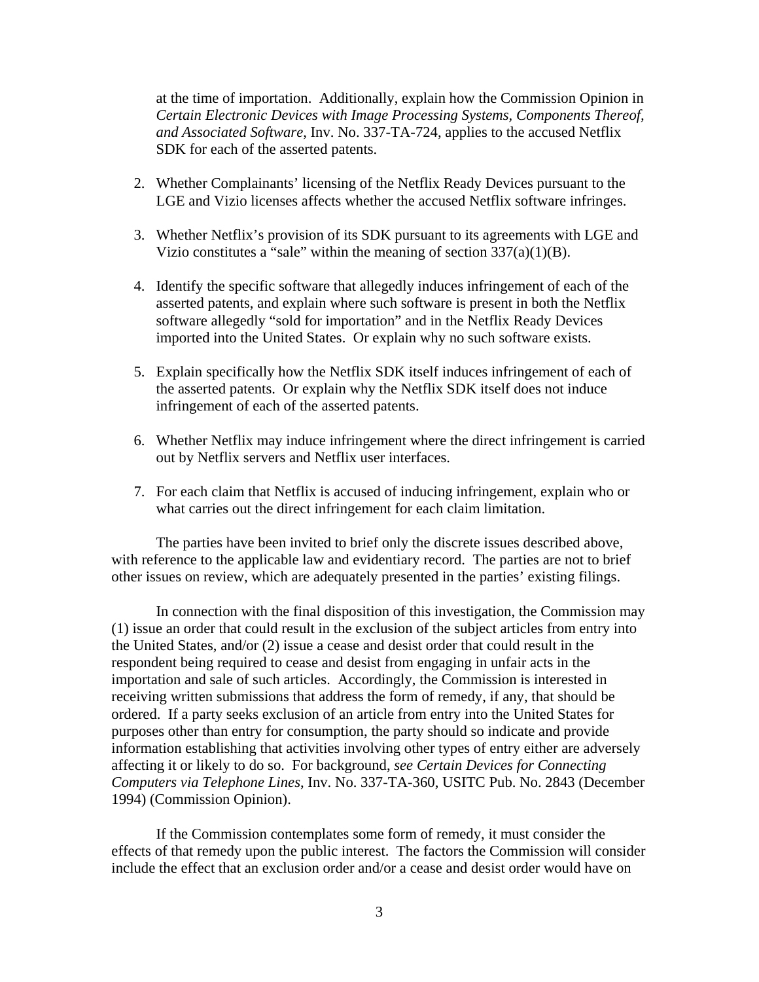at the time of importation. Additionally, explain how the Commission Opinion in *Certain Electronic Devices with Image Processing Systems, Components Thereof, and Associated Software*, Inv. No. 337-TA-724, applies to the accused Netflix SDK for each of the asserted patents.

- 2. Whether Complainants' licensing of the Netflix Ready Devices pursuant to the LGE and Vizio licenses affects whether the accused Netflix software infringes.
- 3. Whether Netflix's provision of its SDK pursuant to its agreements with LGE and Vizio constitutes a "sale" within the meaning of section  $337(a)(1)(B)$ .
- 4. Identify the specific software that allegedly induces infringement of each of the asserted patents, and explain where such software is present in both the Netflix software allegedly "sold for importation" and in the Netflix Ready Devices imported into the United States. Or explain why no such software exists.
- 5. Explain specifically how the Netflix SDK itself induces infringement of each of the asserted patents. Or explain why the Netflix SDK itself does not induce infringement of each of the asserted patents.
- 6. Whether Netflix may induce infringement where the direct infringement is carried out by Netflix servers and Netflix user interfaces.
- 7. For each claim that Netflix is accused of inducing infringement, explain who or what carries out the direct infringement for each claim limitation.

The parties have been invited to brief only the discrete issues described above, with reference to the applicable law and evidentiary record. The parties are not to brief other issues on review, which are adequately presented in the parties' existing filings.

In connection with the final disposition of this investigation, the Commission may (1) issue an order that could result in the exclusion of the subject articles from entry into the United States, and/or (2) issue a cease and desist order that could result in the respondent being required to cease and desist from engaging in unfair acts in the importation and sale of such articles. Accordingly, the Commission is interested in receiving written submissions that address the form of remedy, if any, that should be ordered. If a party seeks exclusion of an article from entry into the United States for purposes other than entry for consumption, the party should so indicate and provide information establishing that activities involving other types of entry either are adversely affecting it or likely to do so. For background, *see Certain Devices for Connecting Computers via Telephone Lines*, Inv. No. 337-TA-360, USITC Pub. No. 2843 (December 1994) (Commission Opinion).

If the Commission contemplates some form of remedy, it must consider the effects of that remedy upon the public interest. The factors the Commission will consider include the effect that an exclusion order and/or a cease and desist order would have on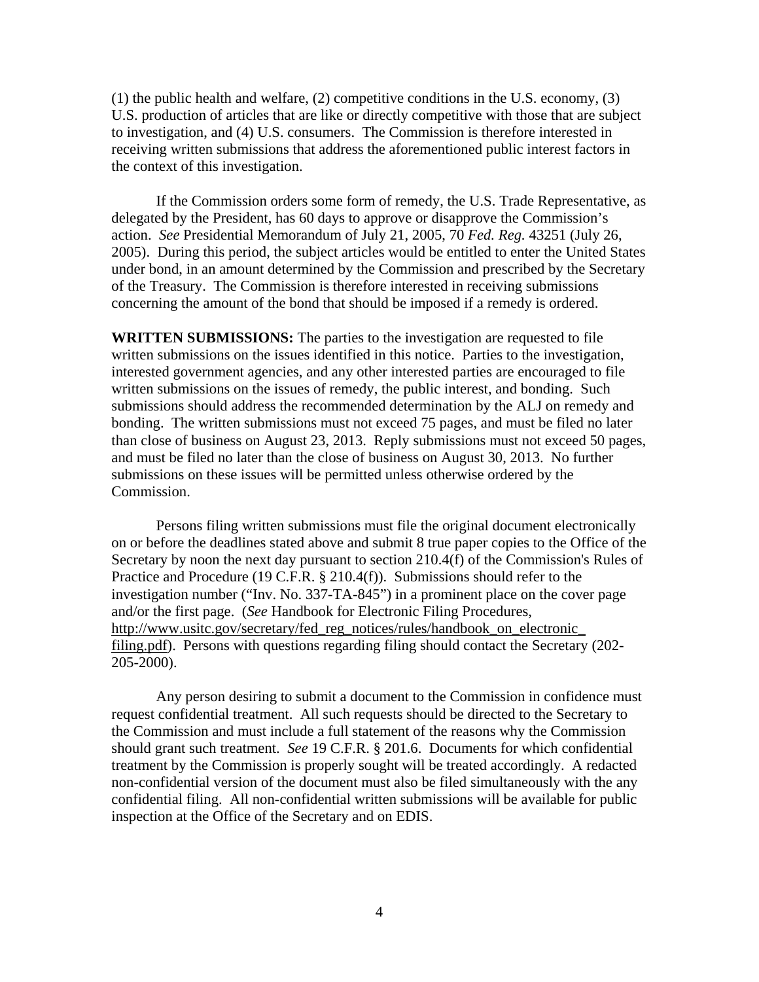(1) the public health and welfare, (2) competitive conditions in the U.S. economy, (3) U.S. production of articles that are like or directly competitive with those that are subject to investigation, and (4) U.S. consumers. The Commission is therefore interested in receiving written submissions that address the aforementioned public interest factors in the context of this investigation.

If the Commission orders some form of remedy, the U.S. Trade Representative, as delegated by the President, has 60 days to approve or disapprove the Commission's action. *See* Presidential Memorandum of July 21, 2005, 70 *Fed. Reg.* 43251 (July 26, 2005). During this period, the subject articles would be entitled to enter the United States under bond, in an amount determined by the Commission and prescribed by the Secretary of the Treasury. The Commission is therefore interested in receiving submissions concerning the amount of the bond that should be imposed if a remedy is ordered.

**WRITTEN SUBMISSIONS:** The parties to the investigation are requested to file written submissions on the issues identified in this notice. Parties to the investigation, interested government agencies, and any other interested parties are encouraged to file written submissions on the issues of remedy, the public interest, and bonding. Such submissions should address the recommended determination by the ALJ on remedy and bonding. The written submissions must not exceed 75 pages, and must be filed no later than close of business on August 23, 2013. Reply submissions must not exceed 50 pages, and must be filed no later than the close of business on August 30, 2013. No further submissions on these issues will be permitted unless otherwise ordered by the Commission.

Persons filing written submissions must file the original document electronically on or before the deadlines stated above and submit 8 true paper copies to the Office of the Secretary by noon the next day pursuant to section 210.4(f) of the Commission's Rules of Practice and Procedure (19 C.F.R. § 210.4(f)). Submissions should refer to the investigation number ("Inv. No. 337-TA-845") in a prominent place on the cover page and/or the first page. (*See* Handbook for Electronic Filing Procedures, http://www.usitc.gov/secretary/fed\_reg\_notices/rules/handbook\_on\_electronic filing.pdf). Persons with questions regarding filing should contact the Secretary (202- 205-2000).

Any person desiring to submit a document to the Commission in confidence must request confidential treatment. All such requests should be directed to the Secretary to the Commission and must include a full statement of the reasons why the Commission should grant such treatment. *See* 19 C.F.R. § 201.6. Documents for which confidential treatment by the Commission is properly sought will be treated accordingly. A redacted non-confidential version of the document must also be filed simultaneously with the any confidential filing. All non-confidential written submissions will be available for public inspection at the Office of the Secretary and on EDIS.